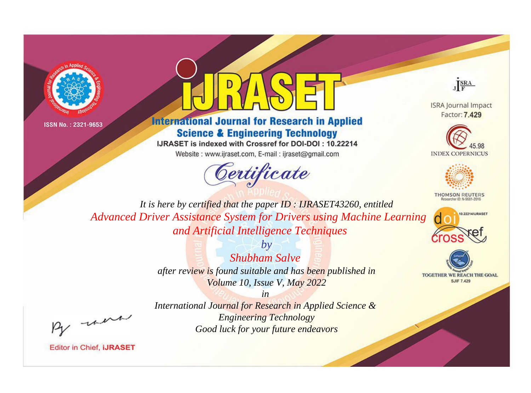



## **International Journal for Research in Applied Science & Engineering Technology**

IJRASET is indexed with Crossref for DOI-DOI: 10.22214

Website: www.ijraset.com, E-mail: ijraset@gmail.com





**ISRA Journal Impact** Factor: 7.429





**THOMSON REUTERS** 



TOGETHER WE REACH THE GOAL **SJIF 7.429** 

*It is here by certified that the paper ID : IJRASET43260, entitled Advanced Driver Assistance System for Drivers using Machine Learning and Artificial Intelligence Techniques*

> *by Shubham Salve after review is found suitable and has been published in Volume 10, Issue V, May 2022*

, un

*International Journal for Research in Applied Science & Engineering Technology Good luck for your future endeavors*

*in*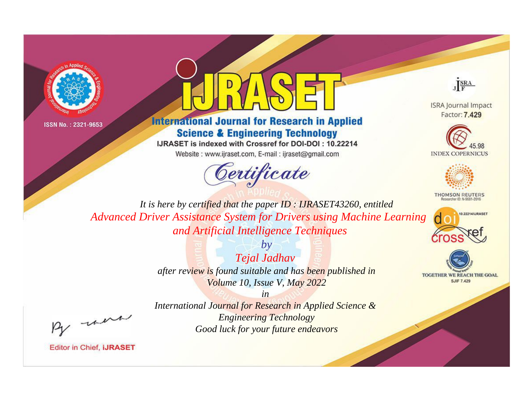



## **International Journal for Research in Applied Science & Engineering Technology**

IJRASET is indexed with Crossref for DOI-DOI: 10.22214

Website: www.ijraset.com, E-mail: ijraset@gmail.com





**ISRA Journal Impact** Factor: 7.429





**THOMSON REUTERS** 



TOGETHER WE REACH THE GOAL **SJIF 7.429** 

*It is here by certified that the paper ID : IJRASET43260, entitled Advanced Driver Assistance System for Drivers using Machine Learning and Artificial Intelligence Techniques*

> *by Tejal Jadhav after review is found suitable and has been published in Volume 10, Issue V, May 2022*

, un

*International Journal for Research in Applied Science & Engineering Technology Good luck for your future endeavors*

*in*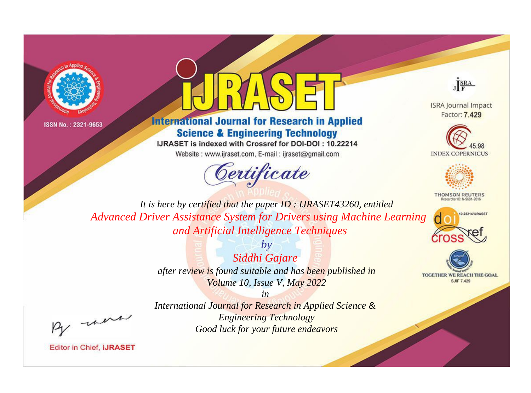



## **International Journal for Research in Applied Science & Engineering Technology**

IJRASET is indexed with Crossref for DOI-DOI: 10.22214

Website: www.ijraset.com, E-mail: ijraset@gmail.com





**ISRA Journal Impact** Factor: 7.429





**THOMSON REUTERS** 



TOGETHER WE REACH THE GOAL **SJIF 7.429** 

*It is here by certified that the paper ID : IJRASET43260, entitled Advanced Driver Assistance System for Drivers using Machine Learning and Artificial Intelligence Techniques*

> *by Siddhi Gajare after review is found suitable and has been published in Volume 10, Issue V, May 2022*

, un

*International Journal for Research in Applied Science & Engineering Technology Good luck for your future endeavors*

*in*